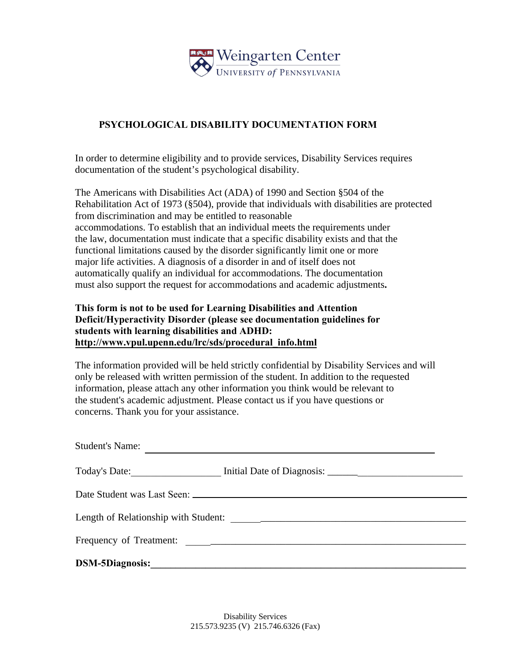

## **PSYCHOLOGICAL DISABILITY DOCUMENTATION FORM**

In order to determine eligibility and to provide services, Disability Services requires documentation of the student's psychological disability.

The Americans with Disabilities Act (ADA) of 1990 and Section §504 of the Rehabilitation Act of 1973 (§504), provide that individuals with disabilities are protected from discrimination and may be entitled to reasonable accommodations. To establish that an individual meets the requirements under the law, documentation must indicate that a specific disability exists and that the functional limitations caused by the disorder significantly limit one or more major life activities. A diagnosis of a disorder in and of itself does not automatically qualify an individual for accommodations. The documentation must also support the request for accommodations and academic adjustments**.** 

## **This form is not to be used for Learning Disabilities and Attention Deficit/Hyperactivity Disorder (please see documentation guidelines for students with learning disabilities and ADHD: http://www.vpul.upenn.edu/lrc/sds/procedural\_info.html**

The information provided will be held strictly confidential by Disability Services and will only be released with written permission of the student. In addition to the requested information, please attach any other information you think would be relevant to the student's academic adjustment. Please contact us if you have questions or concerns. Thank you for your assistance.

| <b>Student's Name:</b>                                              |  |  |  |  |  |
|---------------------------------------------------------------------|--|--|--|--|--|
| Today's Date: Initial Date of Diagnosis: Initial Date of Diagnosis: |  |  |  |  |  |
|                                                                     |  |  |  |  |  |
|                                                                     |  |  |  |  |  |
|                                                                     |  |  |  |  |  |
| <b>DSM-5Diagnosis:</b>                                              |  |  |  |  |  |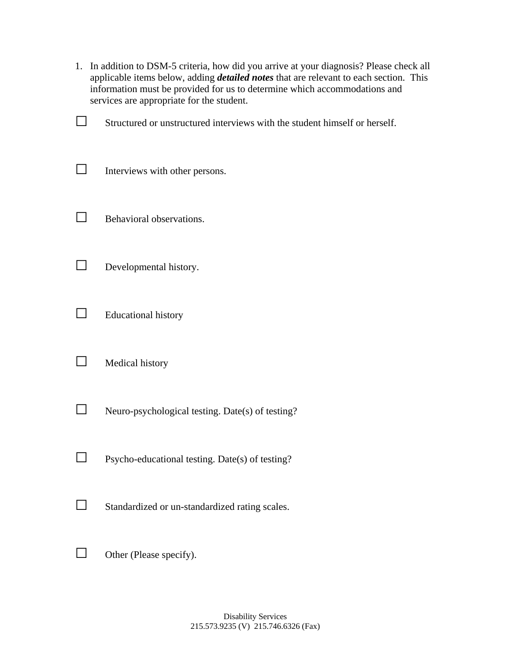| 1. | In addition to DSM-5 criteria, how did you arrive at your diagnosis? Please check all<br>applicable items below, adding <i>detailed notes</i> that are relevant to each section. This<br>information must be provided for us to determine which accommodations and<br>services are appropriate for the student. |
|----|-----------------------------------------------------------------------------------------------------------------------------------------------------------------------------------------------------------------------------------------------------------------------------------------------------------------|
|    | Structured or unstructured interviews with the student himself or herself.                                                                                                                                                                                                                                      |
|    | Interviews with other persons.                                                                                                                                                                                                                                                                                  |
|    | Behavioral observations.                                                                                                                                                                                                                                                                                        |
|    | Developmental history.                                                                                                                                                                                                                                                                                          |
|    | <b>Educational history</b>                                                                                                                                                                                                                                                                                      |
|    | Medical history                                                                                                                                                                                                                                                                                                 |
|    | Neuro-psychological testing. Date(s) of testing?                                                                                                                                                                                                                                                                |
|    | Psycho-educational testing. Date(s) of testing?                                                                                                                                                                                                                                                                 |
|    | Standardized or un-standardized rating scales.                                                                                                                                                                                                                                                                  |
|    | Other (Please specify).                                                                                                                                                                                                                                                                                         |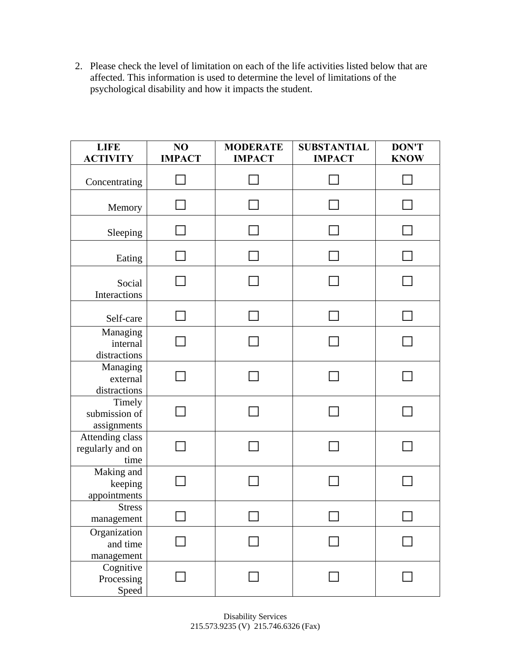2. Please check the level of limitation on each of the life activities listed below that are affected. This information is used to determine the level of limitations of the psychological disability and how it impacts the student.

| <b>LIFE</b><br><b>ACTIVITY</b>              | NO<br><b>IMPACT</b> | <b>MODERATE</b><br><b>IMPACT</b> | <b>SUBSTANTIAL</b><br><b>IMPACT</b> | <b>DON'T</b><br><b>KNOW</b> |
|---------------------------------------------|---------------------|----------------------------------|-------------------------------------|-----------------------------|
| Concentrating                               |                     |                                  |                                     |                             |
| Memory                                      |                     |                                  |                                     |                             |
| Sleeping                                    |                     |                                  |                                     |                             |
| Eating                                      |                     |                                  |                                     |                             |
| Social<br>Interactions                      |                     |                                  |                                     |                             |
| Self-care                                   |                     |                                  |                                     |                             |
| Managing<br>internal<br>distractions        |                     |                                  |                                     |                             |
| Managing<br>external<br>distractions        |                     |                                  |                                     |                             |
| Timely<br>submission of<br>assignments      |                     |                                  |                                     |                             |
| Attending class<br>regularly and on<br>time |                     |                                  |                                     |                             |
| Making and<br>keeping<br>appointments       |                     |                                  |                                     |                             |
| <b>Stress</b><br>management                 |                     |                                  |                                     |                             |
| Organization<br>and time<br>management      |                     |                                  |                                     |                             |
| Cognitive<br>Processing<br>Speed            |                     |                                  |                                     |                             |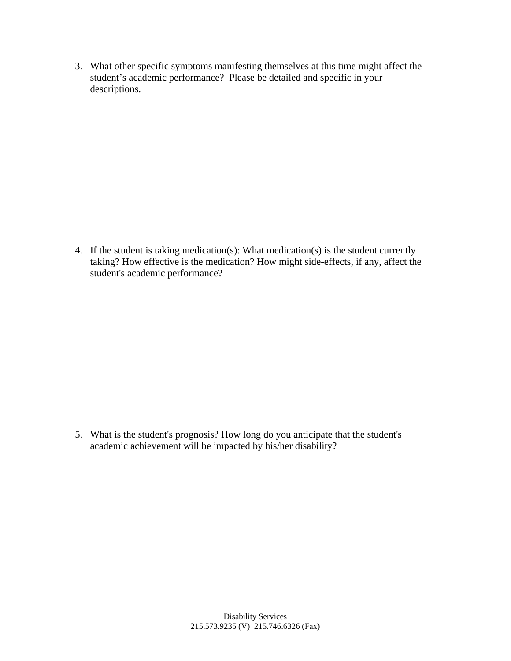3. What other specific symptoms manifesting themselves at this time might affect the student's academic performance? Please be detailed and specific in your descriptions.

4. If the student is taking medication(s): What medication(s) is the student currently taking? How effective is the medication? How might side-effects, if any, affect the student's academic performance?

5. What is the student's prognosis? How long do you anticipate that the student's academic achievement will be impacted by his/her disability?